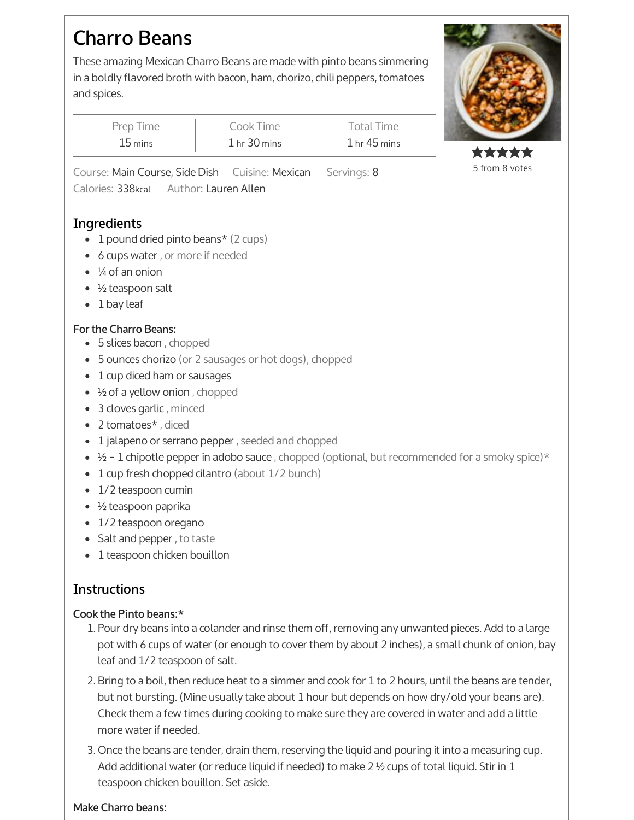# **Charro Beans**

These amazing Mexican Charro Beans are made with pinto beans simmering in a boldly flavored broth with bacon, ham, chorizo, chili peppers, tomatoes and spices.

**COMMANDERS** 

| Prep Time            | Cook Time    | Total Time       |
|----------------------|--------------|------------------|
| $15 \,\mathrm{mins}$ | 1 hr 30 mins | $1$ hr $45$ mins |

Course: Main Course, Side Dish Cuisine: Mexican Servings: 8 Calories: 338kcal Author: Lauren Allen

## **Ingredients**

- 1 pound dried pinto beans\* (2 cups)
- 6 cups water , or more if needed
- $\bullet$   $\frac{1}{4}$  of an onion
- $\bullet$  ½ teaspoon salt
- $\bullet$  1 bay leaf

### **Forthe Charro Beans:**

- 5 slices bacon , chopped
- 5 ounces chorizo (or 2 sausages or hot dogs), chopped
- 1 cup diced ham or sausages
- ½ of a yellow onion , chopped
- 3 cloves garlic , minced
- 2 tomatoes\* , diced
- 1 jalapeno or serrano pepper , seeded and chopped
- $\frac{1}{2}$   $1$  chipotle pepper in adobo sauce , chopped (optional, but recommended for a smoky spice) $^{\star}$
- 1 cup fresh chopped cilantro (about 1/2 bunch)
- 1/2 teaspoon cumin
- $\bullet$  ½ teaspoon paprika
- 1/2 teaspoon oregano
- Salt and pepper , to taste
- 1 teaspoon chicken bouillon

## **Instructions**

### **Cook the Pinto beans:\***

- 1. Pour dry beans into a colander and rinse them off, removing any unwanted pieces. Add to a large pot with 6 cups of water (or enough to cover them by about 2 inches), a small chunk of onion, bay leaf and 1/2 teaspoon of salt.
- 2. Bring to a boil, then reduce heat to a simmer and cook for 1 to 2 hours, until the beans are tender, but not bursting. (Mine usually take about 1 hour but depends on how dry/old your beans are). Check them a few times during cooking to make sure they are covered in water and add a little more water if needed.
- 3. Once the beans are tender, drain them, reserving the liquid and pouring it into a measuring cup. Add additional water (or reduce liquid if needed) to make 2  $\frac{1}{2}$  cups of total liquid. Stir in 1 teaspoon chicken bouillon. Set aside.

#### **Make Charro beans:**

\*\*\*\*\* 5 from 8 votes